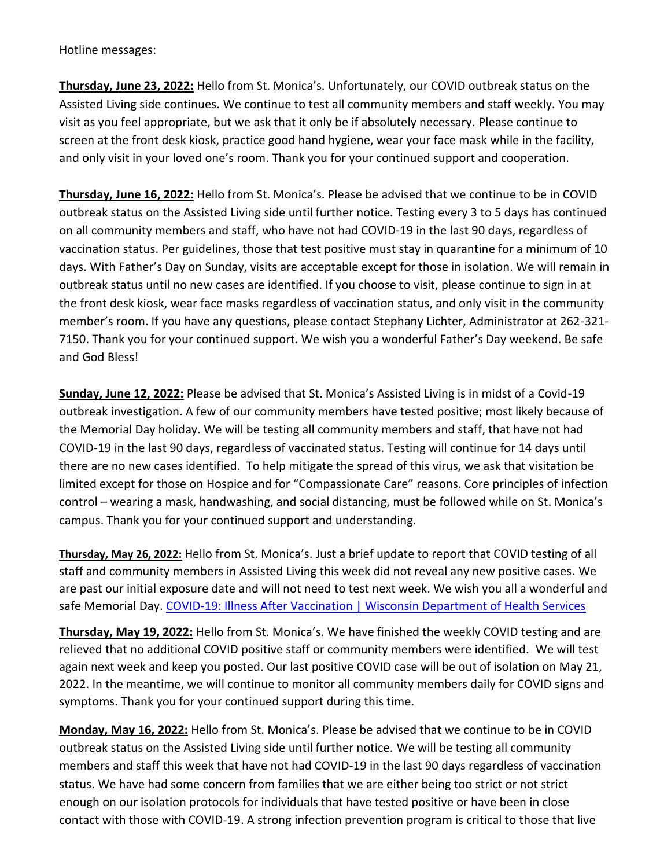Hotline messages:

**Thursday, June 23, 2022:** Hello from St. Monica's. Unfortunately, our COVID outbreak status on the Assisted Living side continues. We continue to test all community members and staff weekly. You may visit as you feel appropriate, but we ask that it only be if absolutely necessary. Please continue to screen at the front desk kiosk, practice good hand hygiene, wear your face mask while in the facility, and only visit in your loved one's room. Thank you for your continued support and cooperation.

**Thursday, June 16, 2022:** Hello from St. Monica's. Please be advised that we continue to be in COVID outbreak status on the Assisted Living side until further notice. Testing every 3 to 5 days has continued on all community members and staff, who have not had COVID-19 in the last 90 days, regardless of vaccination status. Per guidelines, those that test positive must stay in quarantine for a minimum of 10 days. With Father's Day on Sunday, visits are acceptable except for those in isolation. We will remain in outbreak status until no new cases are identified. If you choose to visit, please continue to sign in at the front desk kiosk, wear face masks regardless of vaccination status, and only visit in the community member's room. If you have any questions, please contact Stephany Lichter, Administrator at 262-321- 7150. Thank you for your continued support. We wish you a wonderful Father's Day weekend. Be safe and God Bless!

**Sunday, June 12, 2022:** Please be advised that St. Monica's Assisted Living is in midst of a Covid-19 outbreak investigation. A few of our community members have tested positive; most likely because of the Memorial Day holiday. We will be testing all community members and staff, that have not had COVID-19 in the last 90 days, regardless of vaccinated status. Testing will continue for 14 days until there are no new cases identified. To help mitigate the spread of this virus, we ask that visitation be limited except for those on Hospice and for "Compassionate Care" reasons. Core principles of infection control – wearing a mask, handwashing, and social distancing, must be followed while on St. Monica's campus. Thank you for your continued support and understanding.

**Thursday, May 26, 2022:** Hello from St. Monica's. Just a brief update to report that COVID testing of all staff and community members in Assisted Living this week did not reveal any new positive cases. We are past our initial exposure date and will not need to test next week. We wish you all a wonderful and safe Memorial Day. [COVID-19: Illness After Vaccination | Wisconsin Department of Health Services](https://www.dhs.wisconsin.gov/covid-19/vaccine-status.htm)

**Thursday, May 19, 2022:** Hello from St. Monica's. We have finished the weekly COVID testing and are relieved that no additional COVID positive staff or community members were identified. We will test again next week and keep you posted. Our last positive COVID case will be out of isolation on May 21, 2022. In the meantime, we will continue to monitor all community members daily for COVID signs and symptoms. Thank you for your continued support during this time.

**Monday, May 16, 2022:** Hello from St. Monica's. Please be advised that we continue to be in COVID outbreak status on the Assisted Living side until further notice. We will be testing all community members and staff this week that have not had COVID-19 in the last 90 days regardless of vaccination status. We have had some concern from families that we are either being too strict or not strict enough on our isolation protocols for individuals that have tested positive or have been in close contact with those with COVID-19. A strong infection prevention program is critical to those that live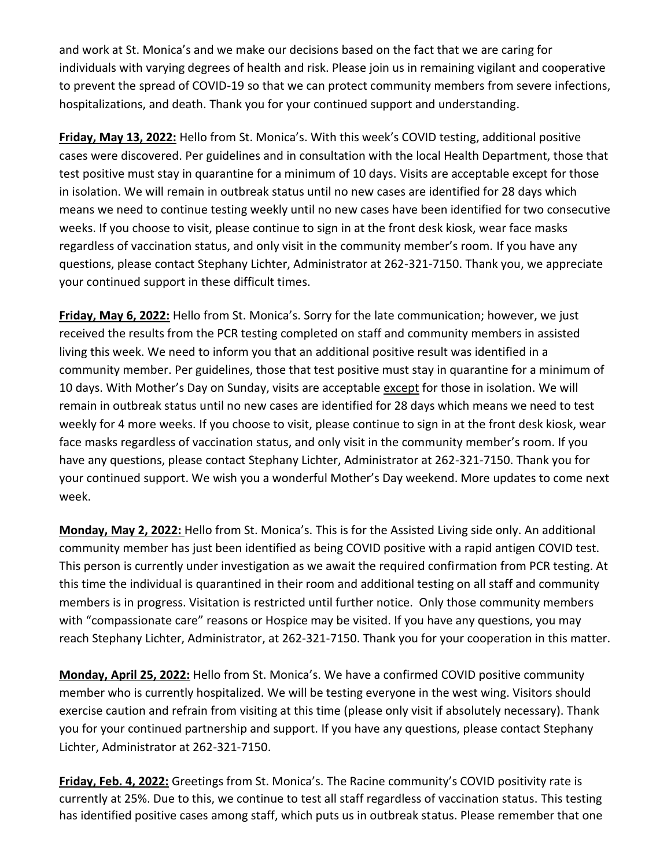and work at St. Monica's and we make our decisions based on the fact that we are caring for individuals with varying degrees of health and risk. Please join us in remaining vigilant and cooperative to prevent the spread of COVID-19 so that we can protect community members from severe infections, hospitalizations, and death. Thank you for your continued support and understanding.

**Friday, May 13, 2022:** Hello from St. Monica's. With this week's COVID testing, additional positive cases were discovered. Per guidelines and in consultation with the local Health Department, those that test positive must stay in quarantine for a minimum of 10 days. Visits are acceptable except for those in isolation. We will remain in outbreak status until no new cases are identified for 28 days which means we need to continue testing weekly until no new cases have been identified for two consecutive weeks. If you choose to visit, please continue to sign in at the front desk kiosk, wear face masks regardless of vaccination status, and only visit in the community member's room. If you have any questions, please contact Stephany Lichter, Administrator at 262-321-7150. Thank you, we appreciate your continued support in these difficult times.

**Friday, May 6, 2022:** Hello from St. Monica's. Sorry for the late communication; however, we just received the results from the PCR testing completed on staff and community members in assisted living this week. We need to inform you that an additional positive result was identified in a community member. Per guidelines, those that test positive must stay in quarantine for a minimum of 10 days. With Mother's Day on Sunday, visits are acceptable except for those in isolation. We will remain in outbreak status until no new cases are identified for 28 days which means we need to test weekly for 4 more weeks. If you choose to visit, please continue to sign in at the front desk kiosk, wear face masks regardless of vaccination status, and only visit in the community member's room. If you have any questions, please contact Stephany Lichter, Administrator at 262-321-7150. Thank you for your continued support. We wish you a wonderful Mother's Day weekend. More updates to come next week.

**Monday, May 2, 2022:** Hello from St. Monica's. This is for the Assisted Living side only. An additional community member has just been identified as being COVID positive with a rapid antigen COVID test. This person is currently under investigation as we await the required confirmation from PCR testing. At this time the individual is quarantined in their room and additional testing on all staff and community members is in progress. Visitation is restricted until further notice. Only those community members with "compassionate care" reasons or Hospice may be visited. If you have any questions, you may reach Stephany Lichter, Administrator, at 262-321-7150. Thank you for your cooperation in this matter.

**Monday, April 25, 2022:** Hello from St. Monica's. We have a confirmed COVID positive community member who is currently hospitalized. We will be testing everyone in the west wing. Visitors should exercise caution and refrain from visiting at this time (please only visit if absolutely necessary). Thank you for your continued partnership and support. If you have any questions, please contact Stephany Lichter, Administrator at 262-321-7150.

**Friday, Feb. 4, 2022:** Greetings from St. Monica's. The Racine community's COVID positivity rate is currently at 25%. Due to this, we continue to test all staff regardless of vaccination status. This testing has identified positive cases among staff, which puts us in outbreak status. Please remember that one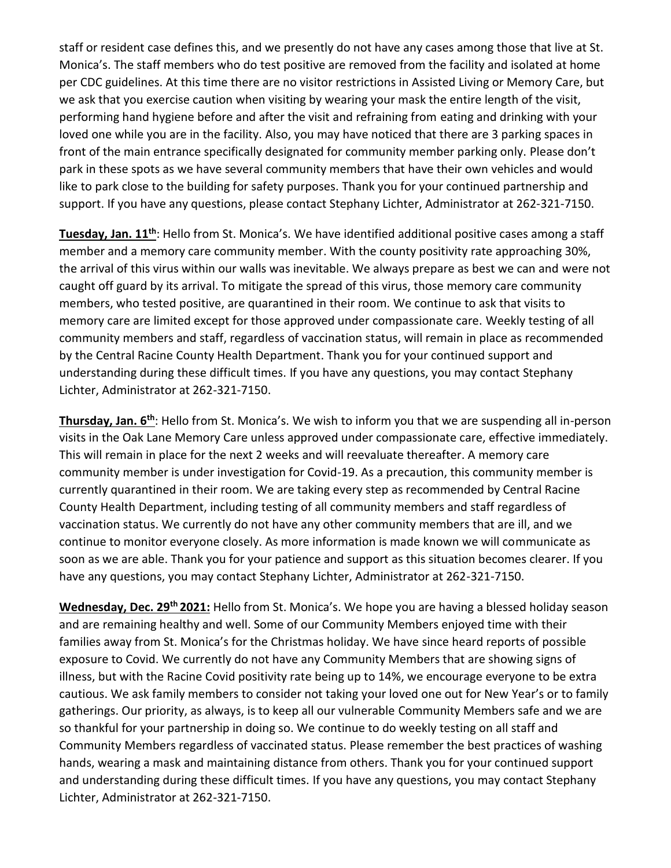staff or resident case defines this, and we presently do not have any cases among those that live at St. Monica's. The staff members who do test positive are removed from the facility and isolated at home per CDC guidelines. At this time there are no visitor restrictions in Assisted Living or Memory Care, but we ask that you exercise caution when visiting by wearing your mask the entire length of the visit, performing hand hygiene before and after the visit and refraining from eating and drinking with your loved one while you are in the facility. Also, you may have noticed that there are 3 parking spaces in front of the main entrance specifically designated for community member parking only. Please don't park in these spots as we have several community members that have their own vehicles and would like to park close to the building for safety purposes. Thank you for your continued partnership and support. If you have any questions, please contact Stephany Lichter, Administrator at 262-321-7150.

Tuesday, Jan. 11<sup>th</sup>: Hello from St. Monica's. We have identified additional positive cases among a staff member and a memory care community member. With the county positivity rate approaching 30%, the arrival of this virus within our walls was inevitable. We always prepare as best we can and were not caught off guard by its arrival. To mitigate the spread of this virus, those memory care community members, who tested positive, are quarantined in their room. We continue to ask that visits to memory care are limited except for those approved under compassionate care. Weekly testing of all community members and staff, regardless of vaccination status, will remain in place as recommended by the Central Racine County Health Department. Thank you for your continued support and understanding during these difficult times. If you have any questions, you may contact Stephany Lichter, Administrator at 262-321-7150.

**Thursday, Jan. 6th**: Hello from St. Monica's. We wish to inform you that we are suspending all in-person visits in the Oak Lane Memory Care unless approved under compassionate care, effective immediately. This will remain in place for the next 2 weeks and will reevaluate thereafter. A memory care community member is under investigation for Covid-19. As a precaution, this community member is currently quarantined in their room. We are taking every step as recommended by Central Racine County Health Department, including testing of all community members and staff regardless of vaccination status. We currently do not have any other community members that are ill, and we continue to monitor everyone closely. As more information is made known we will communicate as soon as we are able. Thank you for your patience and support as this situation becomes clearer. If you have any questions, you may contact Stephany Lichter, Administrator at 262-321-7150.

**Wednesday, Dec. 29th 2021:** Hello from St. Monica's. We hope you are having a blessed holiday season and are remaining healthy and well. Some of our Community Members enjoyed time with their families away from St. Monica's for the Christmas holiday. We have since heard reports of possible exposure to Covid. We currently do not have any Community Members that are showing signs of illness, but with the Racine Covid positivity rate being up to 14%, we encourage everyone to be extra cautious. We ask family members to consider not taking your loved one out for New Year's or to family gatherings. Our priority, as always, is to keep all our vulnerable Community Members safe and we are so thankful for your partnership in doing so. We continue to do weekly testing on all staff and Community Members regardless of vaccinated status. Please remember the best practices of washing hands, wearing a mask and maintaining distance from others. Thank you for your continued support and understanding during these difficult times. If you have any questions, you may contact Stephany Lichter, Administrator at 262-321-7150.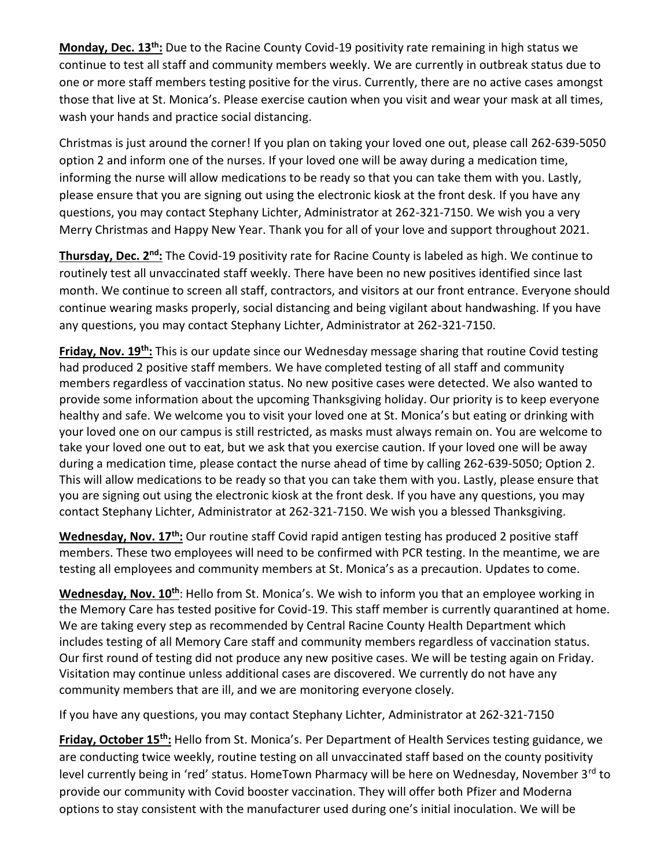**Monday, Dec. 13th:** Due to the Racine County Covid-19 positivity rate remaining in high status we continue to test all staff and community members weekly. We are currently in outbreak status due to one or more staff members testing positive for the virus. Currently, there are no active cases amongst those that live at St. Monica's. Please exercise caution when you visit and wear your mask at all times, wash your hands and practice social distancing.

Christmas is just around the corner! If you plan on taking your loved one out, please call 262-639-5050 option 2 and inform one of the nurses. If your loved one will be away during a medication time, informing the nurse will allow medications to be ready so that you can take them with you. Lastly, please ensure that you are signing out using the electronic kiosk at the front desk. If you have any questions, you may contact Stephany Lichter, Administrator at 262-321-7150. We wish you a very Merry Christmas and Happy New Year. Thank you for all of your love and support throughout 2021.

**Thursday, Dec. 2nd:** The Covid-19 positivity rate for Racine County is labeled as high. We continue to routinely test all unvaccinated staff weekly. There have been no new positives identified since last month. We continue to screen all staff, contractors, and visitors at our front entrance. Everyone should continue wearing masks properly, social distancing and being vigilant about handwashing. If you have any questions, you may contact Stephany Lichter, Administrator at 262-321-7150.

**Friday, Nov. 19th:** This is our update since our Wednesday message sharing that routine Covid testing had produced 2 positive staff members. We have completed testing of all staff and community members regardless of vaccination status. No new positive cases were detected. We also wanted to provide some information about the upcoming Thanksgiving holiday. Our priority is to keep everyone healthy and safe. We welcome you to visit your loved one at St. Monica's but eating or drinking with your loved one on our campus is still restricted, as masks must always remain on. You are welcome to take your loved one out to eat, but we ask that you exercise caution. If your loved one will be away during a medication time, please contact the nurse ahead of time by calling 262-639-5050; Option 2. This will allow medications to be ready so that you can take them with you. Lastly, please ensure that you are signing out using the electronic kiosk at the front desk. If you have any questions, you may contact Stephany Lichter, Administrator at 262-321-7150. We wish you a blessed Thanksgiving.

**Wednesday, Nov. 17th:** Our routine staff Covid rapid antigen testing has produced 2 positive staff members. These two employees will need to be confirmed with PCR testing. In the meantime, we are testing all employees and community members at St. Monica's as a precaution. Updates to come.

**Wednesday, Nov. 10th**: Hello from St. Monica's. We wish to inform you that an employee working in the Memory Care has tested positive for Covid-19. This staff member is currently quarantined at home. We are taking every step as recommended by Central Racine County Health Department which includes testing of all Memory Care staff and community members regardless of vaccination status. Our first round of testing did not produce any new positive cases. We will be testing again on Friday. Visitation may continue unless additional cases are discovered. We currently do not have any community members that are ill, and we are monitoring everyone closely.

If you have any questions, you may contact Stephany Lichter, Administrator at 262-321-7150

**Friday, October 15th:** Hello from St. Monica's. Per Department of Health Services testing guidance, we are conducting twice weekly, routine testing on all unvaccinated staff based on the county positivity level currently being in 'red' status. HomeTown Pharmacy will be here on Wednesday, November 3rd to provide our community with Covid booster vaccination. They will offer both Pfizer and Moderna options to stay consistent with the manufacturer used during one's initial inoculation. We will be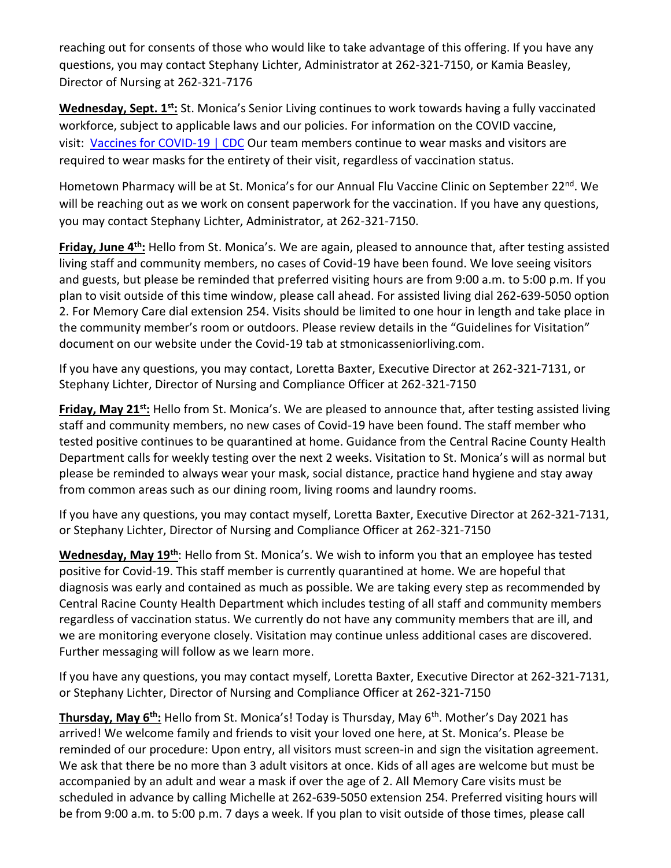reaching out for consents of those who would like to take advantage of this offering. If you have any questions, you may contact Stephany Lichter, Administrator at 262-321-7150, or Kamia Beasley, Director of Nursing at 262-321-7176

**Wednesday, Sept. 1st:** St. Monica's Senior Living continues to work towards having a fully vaccinated workforce, subject to applicable laws and our policies. For information on the COVID vaccine, visit: [Vaccines for COVID-19 | CDC](https://www.cdc.gov/coronavirus/2019-ncov/vaccines/index.html) Our team members continue to wear masks and visitors are required to wear masks for the entirety of their visit, regardless of vaccination status.

Hometown Pharmacy will be at St. Monica's for our Annual Flu Vaccine Clinic on September 22<sup>nd</sup>. We will be reaching out as we work on consent paperwork for the vaccination. If you have any questions, you may contact Stephany Lichter, Administrator, at 262-321-7150.

**Friday, June 4<sup>th</sup>:** Hello from St. Monica's. We are again, pleased to announce that, after testing assisted living staff and community members, no cases of Covid-19 have been found. We love seeing visitors and guests, but please be reminded that preferred visiting hours are from 9:00 a.m. to 5:00 p.m. If you plan to visit outside of this time window, please call ahead. For assisted living dial 262-639-5050 option 2. For Memory Care dial extension 254. Visits should be limited to one hour in length and take place in the community member's room or outdoors. Please review details in the "Guidelines for Visitation" document on our website under the Covid-19 tab at stmonicasseniorliving.com.

If you have any questions, you may contact, Loretta Baxter, Executive Director at 262-321-7131, or Stephany Lichter, Director of Nursing and Compliance Officer at 262-321-7150

**Friday, May 21st:** Hello from St. Monica's. We are pleased to announce that, after testing assisted living staff and community members, no new cases of Covid-19 have been found. The staff member who tested positive continues to be quarantined at home. Guidance from the Central Racine County Health Department calls for weekly testing over the next 2 weeks. Visitation to St. Monica's will as normal but please be reminded to always wear your mask, social distance, practice hand hygiene and stay away from common areas such as our dining room, living rooms and laundry rooms.

If you have any questions, you may contact myself, Loretta Baxter, Executive Director at 262-321-7131, or Stephany Lichter, Director of Nursing and Compliance Officer at 262-321-7150

**Wednesday, May 19th**: Hello from St. Monica's. We wish to inform you that an employee has tested positive for Covid-19. This staff member is currently quarantined at home. We are hopeful that diagnosis was early and contained as much as possible. We are taking every step as recommended by Central Racine County Health Department which includes testing of all staff and community members regardless of vaccination status. We currently do not have any community members that are ill, and we are monitoring everyone closely. Visitation may continue unless additional cases are discovered. Further messaging will follow as we learn more.

If you have any questions, you may contact myself, Loretta Baxter, Executive Director at 262-321-7131, or Stephany Lichter, Director of Nursing and Compliance Officer at 262-321-7150

**Thursday, May 6<sup>th</sup>**: Hello from St. Monica's! Today is Thursday, May 6<sup>th</sup>. Mother's Day 2021 has arrived! We welcome family and friends to visit your loved one here, at St. Monica's. Please be reminded of our procedure: Upon entry, all visitors must screen-in and sign the visitation agreement. We ask that there be no more than 3 adult visitors at once. Kids of all ages are welcome but must be accompanied by an adult and wear a mask if over the age of 2. All Memory Care visits must be scheduled in advance by calling Michelle at 262-639-5050 extension 254. Preferred visiting hours will be from 9:00 a.m. to 5:00 p.m. 7 days a week. If you plan to visit outside of those times, please call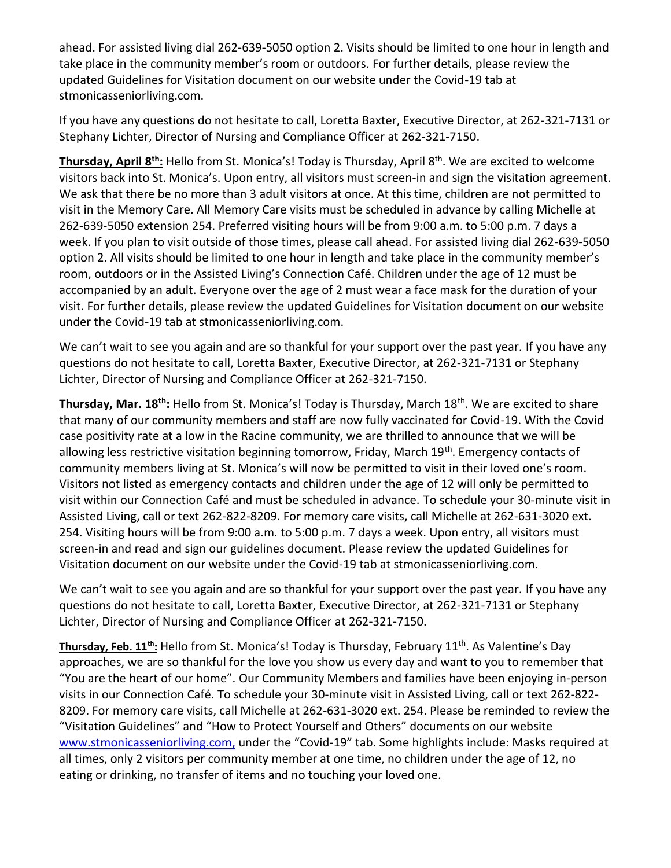ahead. For assisted living dial 262-639-5050 option 2. Visits should be limited to one hour in length and take place in the community member's room or outdoors. For further details, please review the updated Guidelines for Visitation document on our website under the Covid-19 tab at stmonicasseniorliving.com.

If you have any questions do not hesitate to call, Loretta Baxter, Executive Director, at 262-321-7131 or Stephany Lichter, Director of Nursing and Compliance Officer at 262-321-7150.

**Thursday, April 8<sup>th</sup>:** Hello from St. Monica's! Today is Thursday, April 8<sup>th</sup>. We are excited to welcome visitors back into St. Monica's. Upon entry, all visitors must screen-in and sign the visitation agreement. We ask that there be no more than 3 adult visitors at once. At this time, children are not permitted to visit in the Memory Care. All Memory Care visits must be scheduled in advance by calling Michelle at 262-639-5050 extension 254. Preferred visiting hours will be from 9:00 a.m. to 5:00 p.m. 7 days a week. If you plan to visit outside of those times, please call ahead. For assisted living dial 262-639-5050 option 2. All visits should be limited to one hour in length and take place in the community member's room, outdoors or in the Assisted Living's Connection Café. Children under the age of 12 must be accompanied by an adult. Everyone over the age of 2 must wear a face mask for the duration of your visit. For further details, please review the updated Guidelines for Visitation document on our website under the Covid-19 tab at stmonicasseniorliving.com.

We can't wait to see you again and are so thankful for your support over the past year. If you have any questions do not hesitate to call, Loretta Baxter, Executive Director, at 262-321-7131 or Stephany Lichter, Director of Nursing and Compliance Officer at 262-321-7150.

**Thursday, Mar. 18th:** Hello from St. Monica's! Today is Thursday, March 18th. We are excited to share that many of our community members and staff are now fully vaccinated for Covid-19. With the Covid case positivity rate at a low in the Racine community, we are thrilled to announce that we will be allowing less restrictive visitation beginning tomorrow, Friday, March 19<sup>th</sup>. Emergency contacts of community members living at St. Monica's will now be permitted to visit in their loved one's room. Visitors not listed as emergency contacts and children under the age of 12 will only be permitted to visit within our Connection Café and must be scheduled in advance. To schedule your 30-minute visit in Assisted Living, call or text 262-822-8209. For memory care visits, call Michelle at 262-631-3020 ext. 254. Visiting hours will be from 9:00 a.m. to 5:00 p.m. 7 days a week. Upon entry, all visitors must screen-in and read and sign our guidelines document. Please review the updated Guidelines for Visitation document on our website under the Covid-19 tab at stmonicasseniorliving.com.

We can't wait to see you again and are so thankful for your support over the past year. If you have any questions do not hesitate to call, Loretta Baxter, Executive Director, at 262-321-7131 or Stephany Lichter, Director of Nursing and Compliance Officer at 262-321-7150.

**Thursday, Feb. 11th:** Hello from St. Monica's! Today is Thursday, February 11th . As Valentine's Day approaches, we are so thankful for the love you show us every day and want to you to remember that "You are the heart of our home". Our Community Members and families have been enjoying in-person visits in our Connection Café. To schedule your 30-minute visit in Assisted Living, call or text 262-822- 8209. For memory care visits, call Michelle at 262-631-3020 ext. 254. Please be reminded to review the "Visitation Guidelines" and "How to Protect Yourself and Others" documents on our website [www.stmonicasseniorliving.com,](http://www.stmonicasseniorliving.com/) under the "Covid-19" tab. Some highlights include: Masks required at all times, only 2 visitors per community member at one time, no children under the age of 12, no eating or drinking, no transfer of items and no touching your loved one.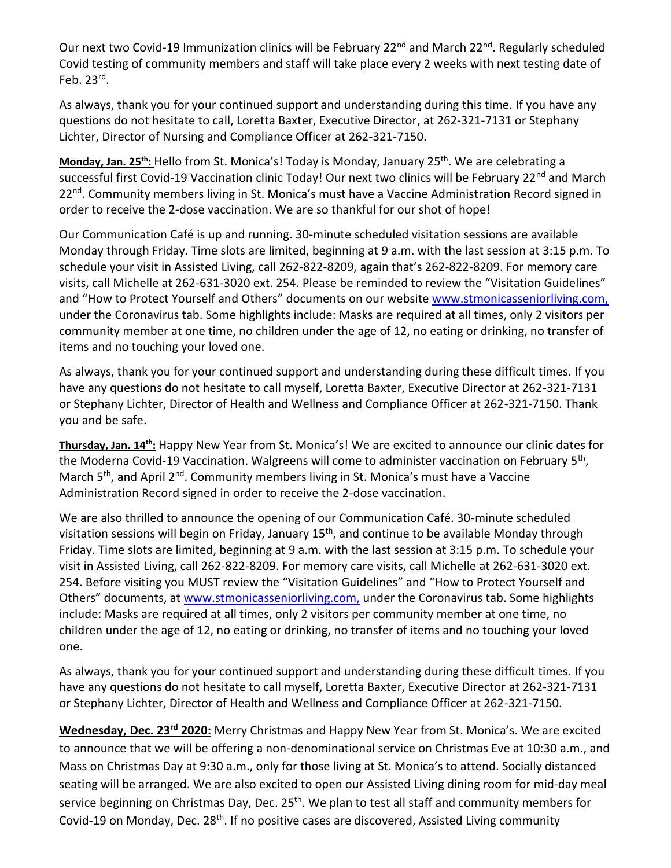Our next two Covid-19 Immunization clinics will be February 22<sup>nd</sup> and March 22<sup>nd</sup>. Regularly scheduled Covid testing of community members and staff will take place every 2 weeks with next testing date of Feb. 23rd .

As always, thank you for your continued support and understanding during this time. If you have any questions do not hesitate to call, Loretta Baxter, Executive Director, at 262-321-7131 or Stephany Lichter, Director of Nursing and Compliance Officer at 262-321-7150.

**Monday, Jan. 25th:** Hello from St. Monica's! Today is Monday, January 25th. We are celebrating a successful first Covid-19 Vaccination clinic Today! Our next two clinics will be February 22<sup>nd</sup> and March 22<sup>nd</sup>. Community members living in St. Monica's must have a Vaccine Administration Record signed in order to receive the 2-dose vaccination. We are so thankful for our shot of hope!

Our Communication Café is up and running. 30-minute scheduled visitation sessions are available Monday through Friday. Time slots are limited, beginning at 9 a.m. with the last session at 3:15 p.m. To schedule your visit in Assisted Living, call 262-822-8209, again that's 262-822-8209. For memory care visits, call Michelle at 262-631-3020 ext. 254. Please be reminded to review the "Visitation Guidelines" and "How to Protect Yourself and Others" documents on our website [www.stmonicasseniorliving.com,](http://www.stmonicasseniorliving.com/) under the Coronavirus tab. Some highlights include: Masks are required at all times, only 2 visitors per community member at one time, no children under the age of 12, no eating or drinking, no transfer of items and no touching your loved one.

As always, thank you for your continued support and understanding during these difficult times. If you have any questions do not hesitate to call myself, Loretta Baxter, Executive Director at 262-321-7131 or Stephany Lichter, Director of Health and Wellness and Compliance Officer at 262-321-7150. Thank you and be safe.

**Thursday, Jan. 14th:** Happy New Year from St. Monica's! We are excited to announce our clinic dates for the Moderna Covid-19 Vaccination. Walgreens will come to administer vaccination on February 5<sup>th</sup>, March 5<sup>th</sup>, and April 2<sup>nd</sup>. Community members living in St. Monica's must have a Vaccine Administration Record signed in order to receive the 2-dose vaccination.

We are also thrilled to announce the opening of our Communication Café. 30-minute scheduled visitation sessions will begin on Friday, January 15<sup>th</sup>, and continue to be available Monday through Friday. Time slots are limited, beginning at 9 a.m. with the last session at 3:15 p.m. To schedule your visit in Assisted Living, call 262-822-8209. For memory care visits, call Michelle at 262-631-3020 ext. 254. Before visiting you MUST review the "Visitation Guidelines" and "How to Protect Yourself and Others" documents, at [www.stmonicasseniorliving.com,](http://www.stmonicasseniorliving.com/) under the Coronavirus tab. Some highlights include: Masks are required at all times, only 2 visitors per community member at one time, no children under the age of 12, no eating or drinking, no transfer of items and no touching your loved one.

As always, thank you for your continued support and understanding during these difficult times. If you have any questions do not hesitate to call myself, Loretta Baxter, Executive Director at 262-321-7131 or Stephany Lichter, Director of Health and Wellness and Compliance Officer at 262-321-7150.

**Wednesday, Dec. 23rd 2020:** Merry Christmas and Happy New Year from St. Monica's. We are excited to announce that we will be offering a non-denominational service on Christmas Eve at 10:30 a.m., and Mass on Christmas Day at 9:30 a.m., only for those living at St. Monica's to attend. Socially distanced seating will be arranged. We are also excited to open our Assisted Living dining room for mid-day meal service beginning on Christmas Day, Dec. 25<sup>th</sup>. We plan to test all staff and community members for Covid-19 on Monday, Dec. 28<sup>th</sup>. If no positive cases are discovered, Assisted Living community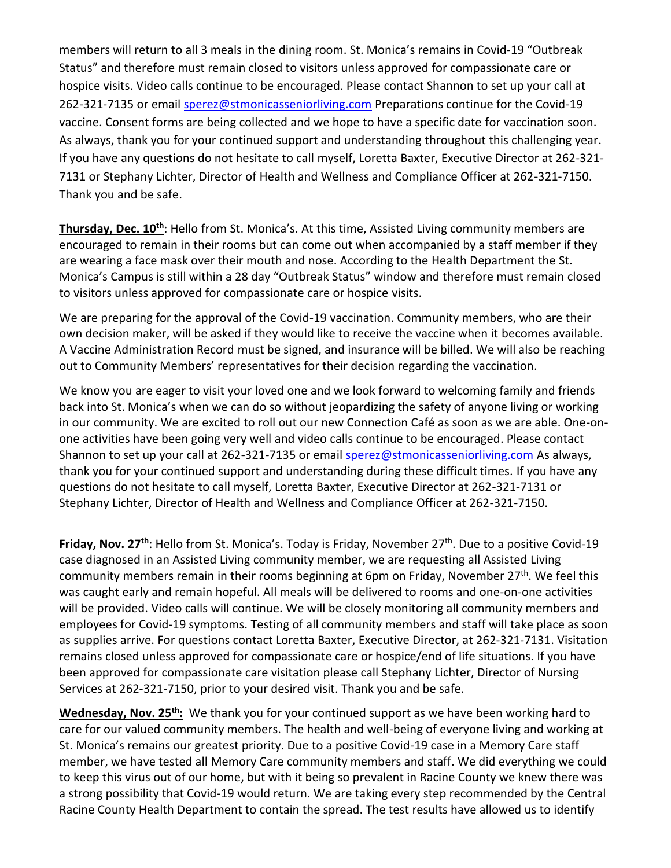members will return to all 3 meals in the dining room. St. Monica's remains in Covid-19 "Outbreak Status" and therefore must remain closed to visitors unless approved for compassionate care or hospice visits. Video calls continue to be encouraged. Please contact Shannon to set up your call at 262-321-7135 or email [sperez@stmonicasseniorliving.com](mailto:sperez@stmonicasseniorliving.com) Preparations continue for the Covid-19 vaccine. Consent forms are being collected and we hope to have a specific date for vaccination soon. As always, thank you for your continued support and understanding throughout this challenging year. If you have any questions do not hesitate to call myself, Loretta Baxter, Executive Director at 262-321- 7131 or Stephany Lichter, Director of Health and Wellness and Compliance Officer at 262-321-7150. Thank you and be safe.

**Thursday, Dec. 10th**: Hello from St. Monica's. At this time, Assisted Living community members are encouraged to remain in their rooms but can come out when accompanied by a staff member if they are wearing a face mask over their mouth and nose. According to the Health Department the St. Monica's Campus is still within a 28 day "Outbreak Status" window and therefore must remain closed to visitors unless approved for compassionate care or hospice visits.

We are preparing for the approval of the Covid-19 vaccination. Community members, who are their own decision maker, will be asked if they would like to receive the vaccine when it becomes available. A Vaccine Administration Record must be signed, and insurance will be billed. We will also be reaching out to Community Members' representatives for their decision regarding the vaccination.

We know you are eager to visit your loved one and we look forward to welcoming family and friends back into St. Monica's when we can do so without jeopardizing the safety of anyone living or working in our community. We are excited to roll out our new Connection Café as soon as we are able. One-onone activities have been going very well and video calls continue to be encouraged. Please contact Shannon to set up your call at 262-321-7135 or email [sperez@stmonicasseniorliving.com](mailto:sperez@stmonicasseniorliving.com) As always, thank you for your continued support and understanding during these difficult times. If you have any questions do not hesitate to call myself, Loretta Baxter, Executive Director at 262-321-7131 or Stephany Lichter, Director of Health and Wellness and Compliance Officer at 262-321-7150.

**Friday, Nov. 27th**: Hello from St. Monica's. Today is Friday, November 27th . Due to a positive Covid-19 case diagnosed in an Assisted Living community member, we are requesting all Assisted Living community members remain in their rooms beginning at 6pm on Friday, November 27<sup>th</sup>. We feel this was caught early and remain hopeful. All meals will be delivered to rooms and one-on-one activities will be provided. Video calls will continue. We will be closely monitoring all community members and employees for Covid-19 symptoms. Testing of all community members and staff will take place as soon as supplies arrive. For questions contact Loretta Baxter, Executive Director, at 262-321-7131. Visitation remains closed unless approved for compassionate care or hospice/end of life situations. If you have been approved for compassionate care visitation please call Stephany Lichter, Director of Nursing Services at 262-321-7150, prior to your desired visit. Thank you and be safe.

**Wednesday, Nov. 25th:** We thank you for your continued support as we have been working hard to care for our valued community members. The health and well-being of everyone living and working at St. Monica's remains our greatest priority. Due to a positive Covid-19 case in a Memory Care staff member, we have tested all Memory Care community members and staff. We did everything we could to keep this virus out of our home, but with it being so prevalent in Racine County we knew there was a strong possibility that Covid-19 would return. We are taking every step recommended by the Central Racine County Health Department to contain the spread. The test results have allowed us to identify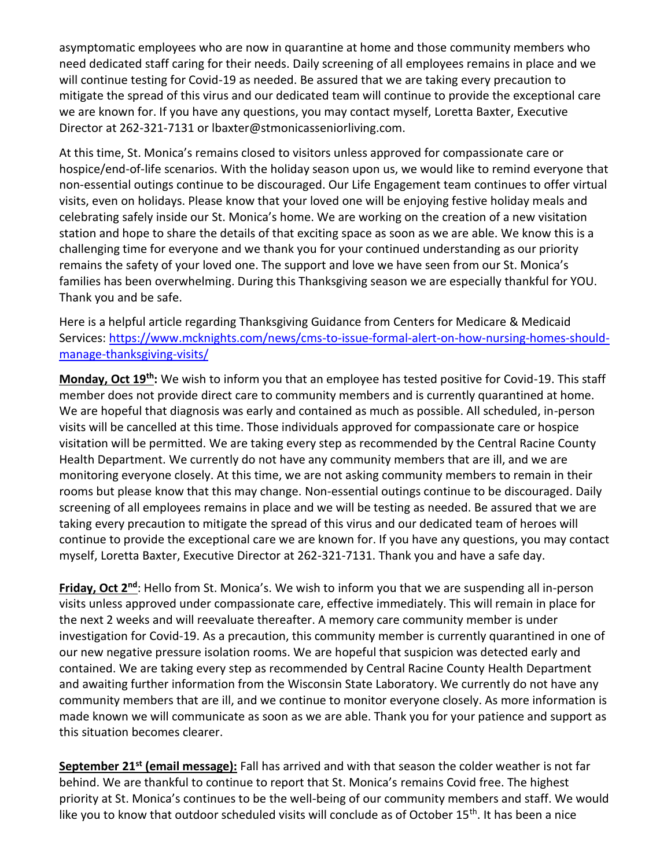asymptomatic employees who are now in quarantine at home and those community members who need dedicated staff caring for their needs. Daily screening of all employees remains in place and we will continue testing for Covid-19 as needed. Be assured that we are taking every precaution to mitigate the spread of this virus and our dedicated team will continue to provide the exceptional care we are known for. If you have any questions, you may contact myself, Loretta Baxter, Executive Director at 262-321-7131 or lbaxter@stmonicasseniorliving.com.

At this time, St. Monica's remains closed to visitors unless approved for compassionate care or hospice/end-of-life scenarios. With the holiday season upon us, we would like to remind everyone that non-essential outings continue to be discouraged. Our Life Engagement team continues to offer virtual visits, even on holidays. Please know that your loved one will be enjoying festive holiday meals and celebrating safely inside our St. Monica's home. We are working on the creation of a new visitation station and hope to share the details of that exciting space as soon as we are able. We know this is a challenging time for everyone and we thank you for your continued understanding as our priority remains the safety of your loved one. The support and love we have seen from our St. Monica's families has been overwhelming. During this Thanksgiving season we are especially thankful for YOU. Thank you and be safe.

Here is a helpful article regarding Thanksgiving Guidance from Centers for Medicare & Medicaid Services: [https://www.mcknights.com/news/cms-to-issue-formal-alert-on-how-nursing-homes-should](https://www.mcknights.com/news/cms-to-issue-formal-alert-on-how-nursing-homes-should-manage-thanksgiving-visits/)[manage-thanksgiving-visits/](https://www.mcknights.com/news/cms-to-issue-formal-alert-on-how-nursing-homes-should-manage-thanksgiving-visits/)

**Monday, Oct 19th:** We wish to inform you that an employee has tested positive for Covid-19. This staff member does not provide direct care to community members and is currently quarantined at home. We are hopeful that diagnosis was early and contained as much as possible. All scheduled, in-person visits will be cancelled at this time. Those individuals approved for compassionate care or hospice visitation will be permitted. We are taking every step as recommended by the Central Racine County Health Department. We currently do not have any community members that are ill, and we are monitoring everyone closely. At this time, we are not asking community members to remain in their rooms but please know that this may change. Non-essential outings continue to be discouraged. Daily screening of all employees remains in place and we will be testing as needed. Be assured that we are taking every precaution to mitigate the spread of this virus and our dedicated team of heroes will continue to provide the exceptional care we are known for. If you have any questions, you may contact myself, Loretta Baxter, Executive Director at 262-321-7131. Thank you and have a safe day.

**Friday, Oct 2nd**: Hello from St. Monica's. We wish to inform you that we are suspending all in-person visits unless approved under compassionate care, effective immediately. This will remain in place for the next 2 weeks and will reevaluate thereafter. A memory care community member is under investigation for Covid-19. As a precaution, this community member is currently quarantined in one of our new negative pressure isolation rooms. We are hopeful that suspicion was detected early and contained. We are taking every step as recommended by Central Racine County Health Department and awaiting further information from the Wisconsin State Laboratory. We currently do not have any community members that are ill, and we continue to monitor everyone closely. As more information is made known we will communicate as soon as we are able. Thank you for your patience and support as this situation becomes clearer.

**September 21st (email message):** Fall has arrived and with that season the colder weather is not far behind. We are thankful to continue to report that St. Monica's remains Covid free. The highest priority at St. Monica's continues to be the well-being of our community members and staff. We would like you to know that outdoor scheduled visits will conclude as of October  $15<sup>th</sup>$ . It has been a nice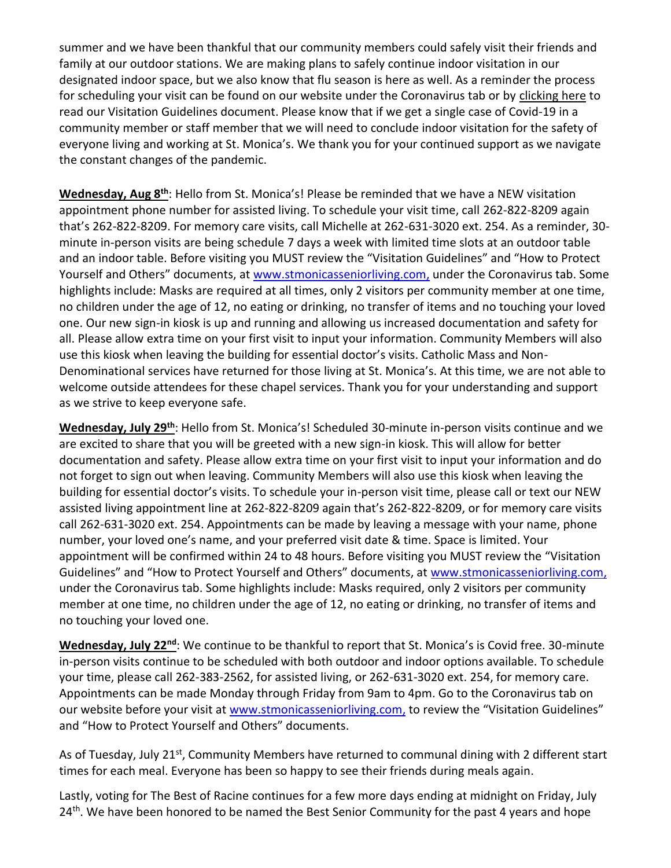summer and we have been thankful that our community members could safely visit their friends and family at our outdoor stations. We are making plans to safely continue indoor visitation in our designated indoor space, but we also know that flu season is here as well. As a reminder the process for scheduling your visit can be found on our website under the Coronavirus tab or by [clicking here](https://stmonicasseniorliving.com/sites/default/files/St.%20Monicas%20In%20Person%20Visitation%20Guidelines%20updated9.15.pdf) to read our Visitation Guidelines document. Please know that if we get a single case of Covid-19 in a community member or staff member that we will need to conclude indoor visitation for the safety of everyone living and working at St. Monica's. We thank you for your continued support as we navigate the constant changes of the pandemic.

**Wednesday, Aug 8th**: Hello from St. Monica's! Please be reminded that we have a NEW visitation appointment phone number for assisted living. To schedule your visit time, call 262-822-8209 again that's 262-822-8209. For memory care visits, call Michelle at 262-631-3020 ext. 254. As a reminder, 30 minute in-person visits are being schedule 7 days a week with limited time slots at an outdoor table and an indoor table. Before visiting you MUST review the "Visitation Guidelines" and "How to Protect Yourself and Others" documents, at [www.stmonicasseniorliving.com,](http://www.stmonicasseniorliving.com/) under the Coronavirus tab. Some highlights include: Masks are required at all times, only 2 visitors per community member at one time, no children under the age of 12, no eating or drinking, no transfer of items and no touching your loved one. Our new sign-in kiosk is up and running and allowing us increased documentation and safety for all. Please allow extra time on your first visit to input your information. Community Members will also use this kiosk when leaving the building for essential doctor's visits. Catholic Mass and Non-Denominational services have returned for those living at St. Monica's. At this time, we are not able to welcome outside attendees for these chapel services. Thank you for your understanding and support as we strive to keep everyone safe.

**Wednesday, July 29th**: Hello from St. Monica's! Scheduled 30-minute in-person visits continue and we are excited to share that you will be greeted with a new sign-in kiosk. This will allow for better documentation and safety. Please allow extra time on your first visit to input your information and do not forget to sign out when leaving. Community Members will also use this kiosk when leaving the building for essential doctor's visits. To schedule your in-person visit time, please call or text our NEW assisted living appointment line at 262-822-8209 again that's 262-822-8209, or for memory care visits call 262-631-3020 ext. 254. Appointments can be made by leaving a message with your name, phone number, your loved one's name, and your preferred visit date & time. Space is limited. Your appointment will be confirmed within 24 to 48 hours. Before visiting you MUST review the "Visitation Guidelines" and "How to Protect Yourself and Others" documents, at [www.stmonicasseniorliving.com,](http://www.stmonicasseniorliving.com/) under the Coronavirus tab. Some highlights include: Masks required, only 2 visitors per community member at one time, no children under the age of 12, no eating or drinking, no transfer of items and no touching your loved one.

**Wednesday, July 22nd**: We continue to be thankful to report that St. Monica's is Covid free. 30-minute in-person visits continue to be scheduled with both outdoor and indoor options available. To schedule your time, please call 262-383-2562, for assisted living, or 262-631-3020 ext. 254, for memory care. Appointments can be made Monday through Friday from 9am to 4pm. Go to the Coronavirus tab on our website before your visit at [www.stmonicasseniorliving.com,](http://www.stmonicasseniorliving.com/) to review the "Visitation Guidelines" and "How to Protect Yourself and Others" documents.

As of Tuesday, July 21<sup>st</sup>, Community Members have returned to communal dining with 2 different start times for each meal. Everyone has been so happy to see their friends during meals again.

Lastly, voting for The Best of Racine continues for a few more days ending at midnight on Friday, July 24<sup>th</sup>. We have been honored to be named the Best Senior Community for the past 4 years and hope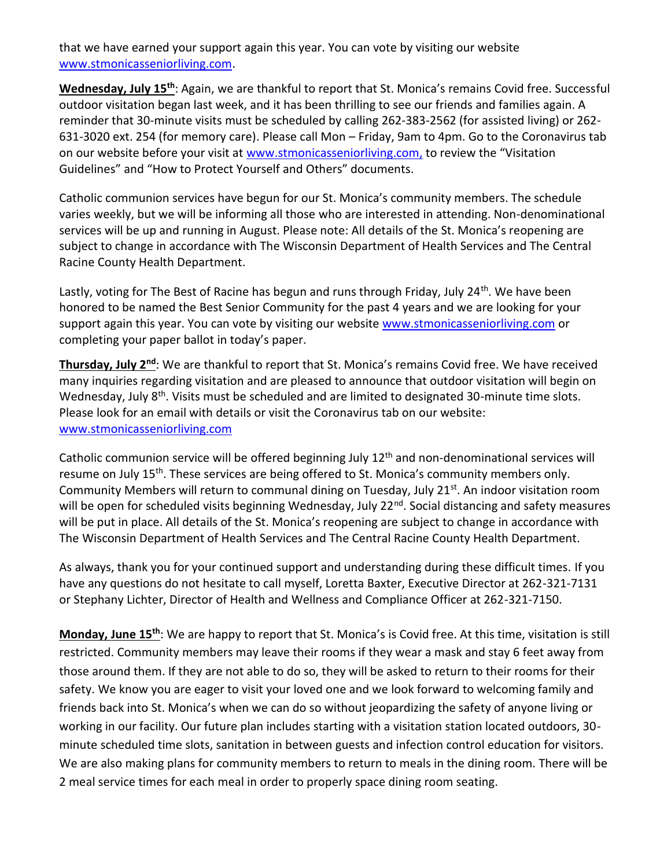that we have earned your support again this year. You can vote by visiting our website [www.stmonicasseniorliving.com.](http://www.stmonicasseniorliving.com/)

**Wednesday, July 15th**: Again, we are thankful to report that St. Monica's remains Covid free. Successful outdoor visitation began last week, and it has been thrilling to see our friends and families again. A reminder that 30-minute visits must be scheduled by calling 262-383-2562 (for assisted living) or 262- 631-3020 ext. 254 (for memory care). Please call Mon – Friday, 9am to 4pm. Go to the Coronavirus tab on our website before your visit at [www.stmonicasseniorliving.com,](http://www.stmonicasseniorliving.com/) to review the "Visitation Guidelines" and "How to Protect Yourself and Others" documents.

Catholic communion services have begun for our St. Monica's community members. The schedule varies weekly, but we will be informing all those who are interested in attending. Non-denominational services will be up and running in August. Please note: All details of the St. Monica's reopening are subject to change in accordance with The Wisconsin Department of Health Services and The Central Racine County Health Department.

Lastly, voting for The Best of Racine has begun and runs through Friday, July 24<sup>th</sup>. We have been honored to be named the Best Senior Community for the past 4 years and we are looking for your support again this year. You can vote by visiting our website [www.stmonicasseniorliving.com](http://www.stmonicasseniorliving.com/) or completing your paper ballot in today's paper.

**Thursday, July 2nd**: We are thankful to report that St. Monica's remains Covid free. We have received many inquiries regarding visitation and are pleased to announce that outdoor visitation will begin on Wednesday, July 8<sup>th</sup>. Visits must be scheduled and are limited to designated 30-minute time slots. Please look for an email with details or visit the Coronavirus tab on our website: [www.stmonicasseniorliving.com](http://www.stmonicasseniorliving.com/)

Catholic communion service will be offered beginning July  $12<sup>th</sup>$  and non-denominational services will resume on July 15<sup>th</sup>. These services are being offered to St. Monica's community members only. Community Members will return to communal dining on Tuesday, July 21<sup>st</sup>. An indoor visitation room will be open for scheduled visits beginning Wednesday, July 22<sup>nd</sup>. Social distancing and safety measures will be put in place. All details of the St. Monica's reopening are subject to change in accordance with The Wisconsin Department of Health Services and The Central Racine County Health Department.

As always, thank you for your continued support and understanding during these difficult times. If you have any questions do not hesitate to call myself, Loretta Baxter, Executive Director at 262-321-7131 or Stephany Lichter, Director of Health and Wellness and Compliance Officer at 262-321-7150.

**Monday, June 15th**: We are happy to report that St. Monica's is Covid free. At this time, visitation is still restricted. Community members may leave their rooms if they wear a mask and stay 6 feet away from those around them. If they are not able to do so, they will be asked to return to their rooms for their safety. We know you are eager to visit your loved one and we look forward to welcoming family and friends back into St. Monica's when we can do so without jeopardizing the safety of anyone living or working in our facility. Our future plan includes starting with a visitation station located outdoors, 30 minute scheduled time slots, sanitation in between guests and infection control education for visitors. We are also making plans for community members to return to meals in the dining room. There will be 2 meal service times for each meal in order to properly space dining room seating.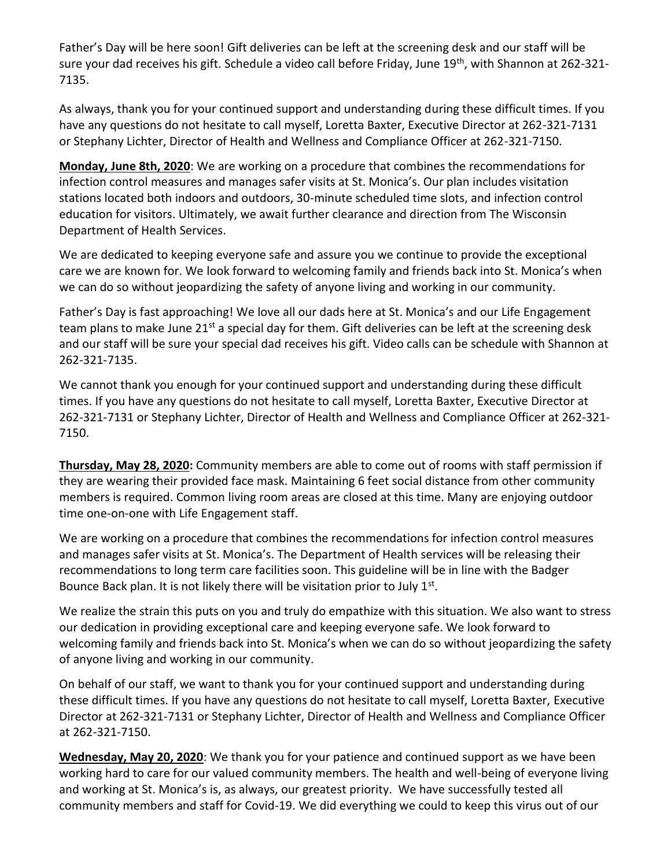Father's Day will be here soon! Gift deliveries can be left at the screening desk and our staff will be sure your dad receives his gift. Schedule a video call before Friday, June 19<sup>th</sup>, with Shannon at 262-321-7135.

As always, thank you for your continued support and understanding during these difficult times. If you have any questions do not hesitate to call myself, Loretta Baxter, Executive Director at 262-321-7131 or Stephany Lichter, Director of Health and Wellness and Compliance Officer at 262-321-7150.

**Monday, June 8th, 2020**: We are working on a procedure that combines the recommendations for infection control measures and manages safer visits at St. Monica's. Our plan includes visitation stations located both indoors and outdoors, 30-minute scheduled time slots, and infection control education for visitors. Ultimately, we await further clearance and direction from The Wisconsin Department of Health Services.

We are dedicated to keeping everyone safe and assure you we continue to provide the exceptional care we are known for. We look forward to welcoming family and friends back into St. Monica's when we can do so without jeopardizing the safety of anyone living and working in our community.

Father's Day is fast approaching! We love all our dads here at St. Monica's and our Life Engagement team plans to make June 21<sup>st</sup> a special day for them. Gift deliveries can be left at the screening desk and our staff will be sure your special dad receives his gift. Video calls can be schedule with Shannon at 262-321-7135.

We cannot thank you enough for your continued support and understanding during these difficult times. If you have any questions do not hesitate to call myself, Loretta Baxter, Executive Director at 262-321-7131 or Stephany Lichter, Director of Health and Wellness and Compliance Officer at 262-321- 7150.

**Thursday, May 28, 2020:** Community members are able to come out of rooms with staff permission if they are wearing their provided face mask. Maintaining 6 feet social distance from other community members is required. Common living room areas are closed at this time. Many are enjoying outdoor time one-on-one with Life Engagement staff.

We are working on a procedure that combines the recommendations for infection control measures and manages safer visits at St. Monica's. The Department of Health services will be releasing their recommendations to long term care facilities soon. This guideline will be in line with the Badger Bounce Back plan. It is not likely there will be visitation prior to July  $1<sup>st</sup>$ .

We realize the strain this puts on you and truly do empathize with this situation. We also want to stress our dedication in providing exceptional care and keeping everyone safe. We look forward to welcoming family and friends back into St. Monica's when we can do so without jeopardizing the safety of anyone living and working in our community.

On behalf of our staff, we want to thank you for your continued support and understanding during these difficult times. If you have any questions do not hesitate to call myself, Loretta Baxter, Executive Director at 262-321-7131 or Stephany Lichter, Director of Health and Wellness and Compliance Officer at 262-321-7150.

**Wednesday, May 20, 2020**: We thank you for your patience and continued support as we have been working hard to care for our valued community members. The health and well-being of everyone living and working at St. Monica's is, as always, our greatest priority. We have successfully tested all community members and staff for Covid-19. We did everything we could to keep this virus out of our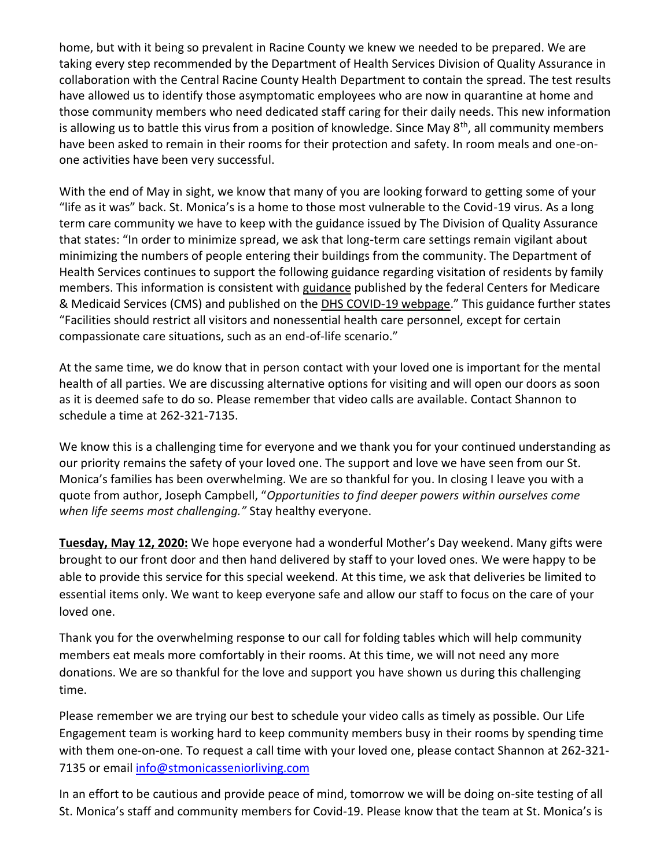home, but with it being so prevalent in Racine County we knew we needed to be prepared. We are taking every step recommended by the Department of Health Services Division of Quality Assurance in collaboration with the Central Racine County Health Department to contain the spread. The test results have allowed us to identify those asymptomatic employees who are now in quarantine at home and those community members who need dedicated staff caring for their daily needs. This new information is allowing us to battle this virus from a position of knowledge. Since May  $8<sup>th</sup>$ , all community members have been asked to remain in their rooms for their protection and safety. In room meals and one-onone activities have been very successful.

With the end of May in sight, we know that many of you are looking forward to getting some of your "life as it was" back. St. Monica's is a home to those most vulnerable to the Covid-19 virus. As a long term care community we have to keep with the guidance issued by The Division of Quality Assurance that states: "In order to minimize spread, we ask that long-term care settings remain vigilant about minimizing the numbers of people entering their buildings from the community. The Department of Health Services continues to support the following guidance regarding visitation of residents by family members. This information is consistent with [guidance](https://lnks.gd/l/eyJhbGciOiJIUzI1NiJ9.eyJidWxsZXRpbl9saW5rX2lkIjoxMDAsInVyaSI6ImJwMjpjbGljayIsImJ1bGxldGluX2lkIjoiMjAyMDA1MTguMjE2NzcwMTEiLCJ1cmwiOiJodHRwczovL3d3dy5jbXMuZ292L2ZpbGVzL2RvY3VtZW50L3Fzby0yMC0xNC1uaC1yZXZpc2VkLnBkZiJ9.JJokYg9R5eOD3faEUNqFSQWYuzntX0yL6m_Bihsxf4o/br/78784091073-l) published by the federal Centers for Medicare & Medicaid Services (CMS) and published on the [DHS COVID-19 webpage](https://lnks.gd/l/eyJhbGciOiJIUzI1NiJ9.eyJidWxsZXRpbl9saW5rX2lkIjoxMDEsInVyaSI6ImJwMjpjbGljayIsImJ1bGxldGluX2lkIjoiMjAyMDA1MTguMjE2NzcwMTEiLCJ1cmwiOiJodHRwczovL3d3dy5kaHMud2lzY29uc2luLmdvdi9jb3ZpZC0xOS9sdGMuaHRtIn0.FLUkB4MrIkaqzLfmlYodRDuAywT64QKaHsCNAAqn5kc/br/78784091073-l)." This guidance further states "Facilities should restrict all visitors and nonessential health care personnel, except for certain compassionate care situations, such as an end-of-life scenario."

At the same time, we do know that in person contact with your loved one is important for the mental health of all parties. We are discussing alternative options for visiting and will open our doors as soon as it is deemed safe to do so. Please remember that video calls are available. Contact Shannon to schedule a time at 262-321-7135.

We know this is a challenging time for everyone and we thank you for your continued understanding as our priority remains the safety of your loved one. The support and love we have seen from our St. Monica's families has been overwhelming. We are so thankful for you. In closing I leave you with a quote from author, Joseph Campbell, "*Opportunities to find deeper powers within ourselves come when life seems most challenging."* Stay healthy everyone.

**Tuesday, May 12, 2020:** We hope everyone had a wonderful Mother's Day weekend. Many gifts were brought to our front door and then hand delivered by staff to your loved ones. We were happy to be able to provide this service for this special weekend. At this time, we ask that deliveries be limited to essential items only. We want to keep everyone safe and allow our staff to focus on the care of your loved one.

Thank you for the overwhelming response to our call for folding tables which will help community members eat meals more comfortably in their rooms. At this time, we will not need any more donations. We are so thankful for the love and support you have shown us during this challenging time.

Please remember we are trying our best to schedule your video calls as timely as possible. Our Life Engagement team is working hard to keep community members busy in their rooms by spending time with them one-on-one. To request a call time with your loved one, please contact Shannon at 262-321- 7135 or email [info@stmonicasseniorliving.com](mailto:info@stmonicasseniorliving.com)

In an effort to be cautious and provide peace of mind, tomorrow we will be doing on-site testing of all St. Monica's staff and community members for Covid-19. Please know that the team at St. Monica's is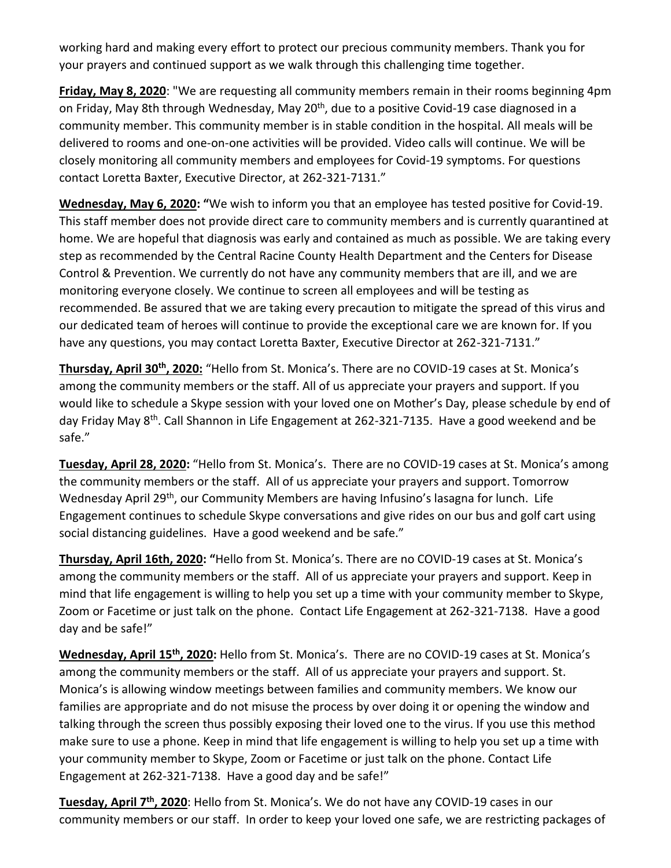working hard and making every effort to protect our precious community members. Thank you for your prayers and continued support as we walk through this challenging time together.

**Friday, May 8, 2020**: "We are requesting all community members remain in their rooms beginning 4pm on Friday, May 8th through Wednesday, May 20<sup>th</sup>, due to a positive Covid-19 case diagnosed in a community member. This community member is in stable condition in the hospital. All meals will be delivered to rooms and one-on-one activities will be provided. Video calls will continue. We will be closely monitoring all community members and employees for Covid-19 symptoms. For questions contact Loretta Baxter, Executive Director, at 262-321-7131."

**Wednesday, May 6, 2020: "**We wish to inform you that an employee has tested positive for Covid-19. This staff member does not provide direct care to community members and is currently quarantined at home. We are hopeful that diagnosis was early and contained as much as possible. We are taking every step as recommended by the Central Racine County Health Department and the Centers for Disease Control & Prevention. We currently do not have any community members that are ill, and we are monitoring everyone closely. We continue to screen all employees and will be testing as recommended. Be assured that we are taking every precaution to mitigate the spread of this virus and our dedicated team of heroes will continue to provide the exceptional care we are known for. If you have any questions, you may contact Loretta Baxter, Executive Director at 262-321-7131."

**Thursday, April 30th, 2020:** "Hello from St. Monica's. There are no COVID-19 cases at St. Monica's among the community members or the staff. All of us appreciate your prayers and support. If you would like to schedule a Skype session with your loved one on Mother's Day, please schedule by end of day Friday May 8<sup>th</sup>. Call Shannon in Life Engagement at 262-321-7135. Have a good weekend and be safe."

**Tuesday, April 28, 2020:** "Hello from St. Monica's. There are no COVID-19 cases at St. Monica's among the community members or the staff. All of us appreciate your prayers and support. Tomorrow Wednesday April 29<sup>th</sup>, our Community Members are having Infusino's lasagna for lunch. Life Engagement continues to schedule Skype conversations and give rides on our bus and golf cart using social distancing guidelines. Have a good weekend and be safe."

**Thursday, April 16th, 2020: "**Hello from St. Monica's. There are no COVID-19 cases at St. Monica's among the community members or the staff. All of us appreciate your prayers and support. Keep in mind that life engagement is willing to help you set up a time with your community member to Skype, Zoom or Facetime or just talk on the phone. Contact Life Engagement at 262-321-7138. Have a good day and be safe!"

**Wednesday, April 15th, 2020:** Hello from St. Monica's. There are no COVID-19 cases at St. Monica's among the community members or the staff. All of us appreciate your prayers and support. St. Monica's is allowing window meetings between families and community members. We know our families are appropriate and do not misuse the process by over doing it or opening the window and talking through the screen thus possibly exposing their loved one to the virus. If you use this method make sure to use a phone. Keep in mind that life engagement is willing to help you set up a time with your community member to Skype, Zoom or Facetime or just talk on the phone. Contact Life Engagement at 262-321-7138. Have a good day and be safe!"

**Tuesday, April 7 th , 2020**: Hello from St. Monica's. We do not have any COVID-19 cases in our community members or our staff. In order to keep your loved one safe, we are restricting packages of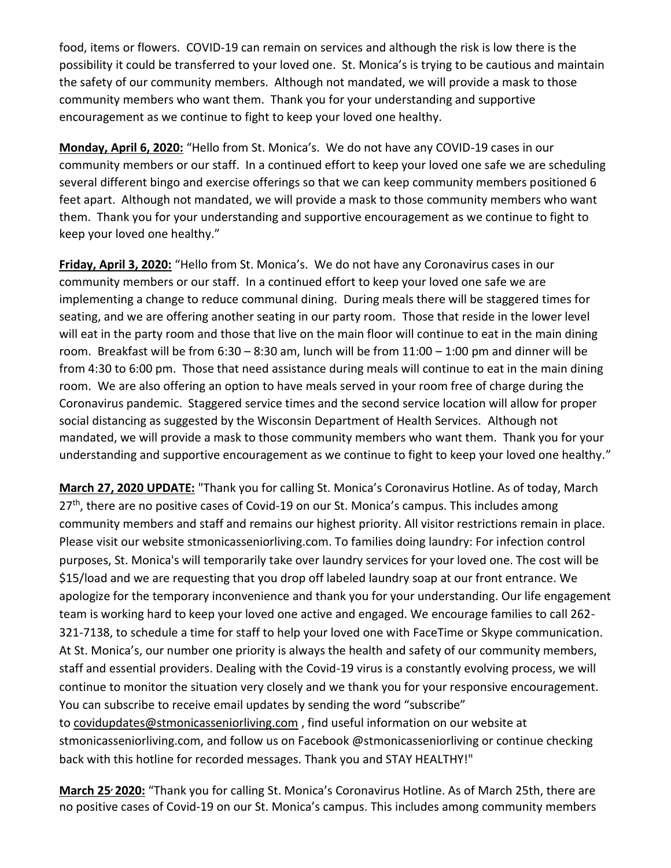food, items or flowers. COVID-19 can remain on services and although the risk is low there is the possibility it could be transferred to your loved one. St. Monica's is trying to be cautious and maintain the safety of our community members. Although not mandated, we will provide a mask to those community members who want them. Thank you for your understanding and supportive encouragement as we continue to fight to keep your loved one healthy.

**Monday, April 6, 2020:** "Hello from St. Monica's. We do not have any COVID-19 cases in our community members or our staff. In a continued effort to keep your loved one safe we are scheduling several different bingo and exercise offerings so that we can keep community members positioned 6 feet apart. Although not mandated, we will provide a mask to those community members who want them. Thank you for your understanding and supportive encouragement as we continue to fight to keep your loved one healthy."

**Friday, April 3, 2020:** "Hello from St. Monica's. We do not have any Coronavirus cases in our community members or our staff. In a continued effort to keep your loved one safe we are implementing a change to reduce communal dining. During meals there will be staggered times for seating, and we are offering another seating in our party room. Those that reside in the lower level will eat in the party room and those that live on the main floor will continue to eat in the main dining room. Breakfast will be from 6:30 – 8:30 am, lunch will be from 11:00 – 1:00 pm and dinner will be from 4:30 to 6:00 pm. Those that need assistance during meals will continue to eat in the main dining room. We are also offering an option to have meals served in your room free of charge during the Coronavirus pandemic. Staggered service times and the second service location will allow for proper social distancing as suggested by the Wisconsin Department of Health Services. Although not mandated, we will provide a mask to those community members who want them. Thank you for your understanding and supportive encouragement as we continue to fight to keep your loved one healthy."

**March 27, 2020 UPDATE:** "Thank you for calling St. Monica's Coronavirus Hotline. As of today, March 27<sup>th</sup>, there are no positive cases of Covid-19 on our St. Monica's campus. This includes among community members and staff and remains our highest priority. All visitor restrictions remain in place. Please visit our website stmonicasseniorliving.com. To families doing laundry: For infection control purposes, St. Monica's will temporarily take over laundry services for your loved one. The cost will be \$15/load and we are requesting that you drop off labeled laundry soap at our front entrance. We apologize for the temporary inconvenience and thank you for your understanding. Our life engagement team is working hard to keep your loved one active and engaged. We encourage families to call 262- 321-7138, to schedule a time for staff to help your loved one with FaceTime or Skype communication. At St. Monica's, our number one priority is always the health and safety of our community members, staff and essential providers. Dealing with the Covid-19 virus is a constantly evolving process, we will continue to monitor the situation very closely and we thank you for your responsive encouragement. You can subscribe to receive email updates by sending the word "subscribe" to [covidupdates@stmonicasseniorliving.com](mailto:covidupdates@stmonicasseniorliving.com), find useful information on our website at stmonicasseniorliving.com, and follow us on Facebook @stmonicasseniorliving or continue checking back with this hotline for recorded messages. Thank you and STAY HEALTHY!"

**March 25, 2020:** "Thank you for calling St. Monica's Coronavirus Hotline. As of March 25th, there are no positive cases of Covid-19 on our St. Monica's campus. This includes among community members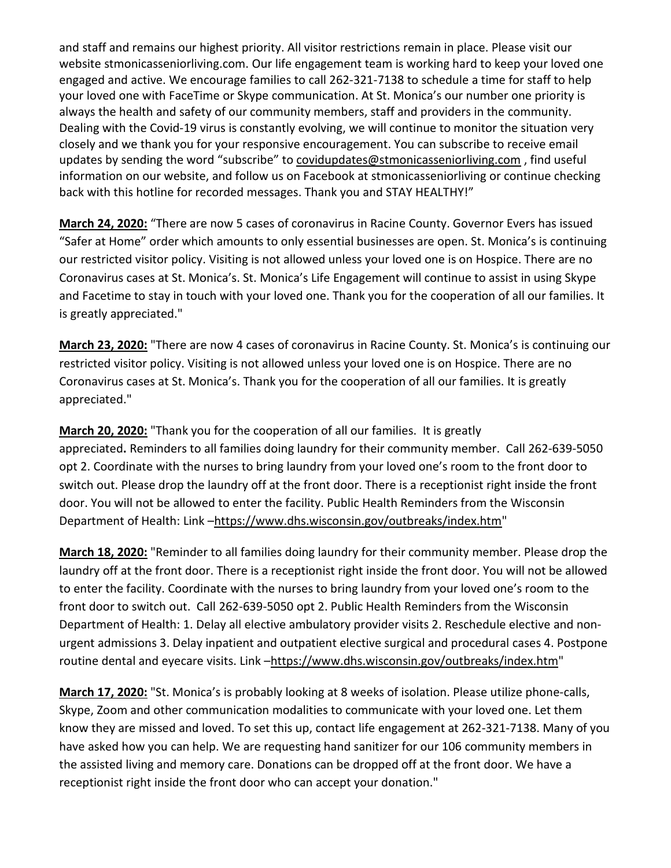and staff and remains our highest priority. All visitor restrictions remain in place. Please visit our website stmonicasseniorliving.com. Our life engagement team is working hard to keep your loved one engaged and active. We encourage families to call 262-321-7138 to schedule a time for staff to help your loved one with FaceTime or Skype communication. At St. Monica's our number one priority is always the health and safety of our community members, staff and providers in the community. Dealing with the Covid-19 virus is constantly evolving, we will continue to monitor the situation very closely and we thank you for your responsive encouragement. You can subscribe to receive email updates by sending the word "subscribe" to [covidupdates@stmonicasseniorliving.com](mailto:covidupdates@stmonicasseniorliving.com) , find useful information on our website, and follow us on Facebook at stmonicasseniorliving or continue checking back with this hotline for recorded messages. Thank you and STAY HEALTHY!"

**March 24, 2020:** "There are now 5 cases of coronavirus in Racine County. Governor Evers has issued "Safer at Home" order which amounts to only essential businesses are open. St. Monica's is continuing our restricted visitor policy. Visiting is not allowed unless your loved one is on Hospice. There are no Coronavirus cases at St. Monica's. St. Monica's Life Engagement will continue to assist in using Skype and Facetime to stay in touch with your loved one. Thank you for the cooperation of all our families. It is greatly appreciated."

**March 23, 2020:** "There are now 4 cases of coronavirus in Racine County. St. Monica's is continuing our restricted visitor policy. Visiting is not allowed unless your loved one is on Hospice. There are no Coronavirus cases at St. Monica's. Thank you for the cooperation of all our families. It is greatly appreciated."

**March 20, 2020:** "Thank you for the cooperation of all our families. It is greatly appreciated**.** Reminders to all families doing laundry for their community member. Call 262-639-5050 opt 2. Coordinate with the nurses to bring laundry from your loved one's room to the front door to switch out. Please drop the laundry off at the front door. There is a receptionist right inside the front door. You will not be allowed to enter the facility. Public Health Reminders from the Wisconsin Department of Health: Link -[https://www.dhs.wisconsin.gov/outbreaks/index.htm"](https://www.dhs.wisconsin.gov/outbreaks/index.htm)

**March 18, 2020:** "Reminder to all families doing laundry for their community member. Please drop the laundry off at the front door. There is a receptionist right inside the front door. You will not be allowed to enter the facility. Coordinate with the nurses to bring laundry from your loved one's room to the front door to switch out. Call 262-639-5050 opt 2. Public Health Reminders from the Wisconsin Department of Health: 1. Delay all elective ambulatory provider visits 2. Reschedule elective and nonurgent admissions 3. Delay inpatient and outpatient elective surgical and procedural cases 4. Postpone routine dental and eyecare visits. Link –[https://www.dhs.wisconsin.gov/outbreaks/index.htm"](https://www.dhs.wisconsin.gov/outbreaks/index.htm)

**March 17, 2020:** "St. Monica's is probably looking at 8 weeks of isolation. Please utilize phone-calls, Skype, Zoom and other communication modalities to communicate with your loved one. Let them know they are missed and loved. To set this up, contact life engagement at 262-321-7138. Many of you have asked how you can help. We are requesting hand sanitizer for our 106 community members in the assisted living and memory care. Donations can be dropped off at the front door. We have a receptionist right inside the front door who can accept your donation."